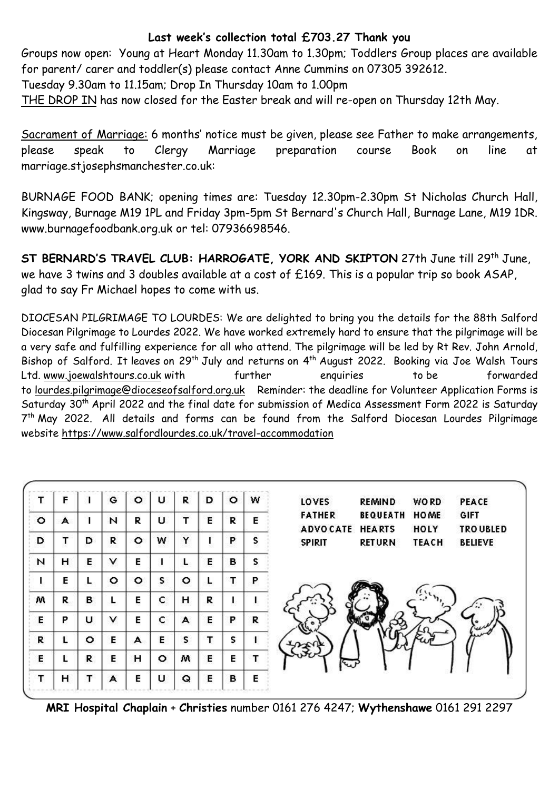## **Last week's collection total £703.27 Thank you**

Groups now open: Young at Heart Monday 11.30am to 1.30pm; Toddlers Group places are available for parent/ carer and toddler(s) please contact Anne Cummins on 07305 392612.

Tuesday 9.30am to 11.15am; Drop In Thursday 10am to 1.00pm

THE DROP IN has now closed for the Easter break and will re-open on Thursday 12th May.

Sacrament of Marriage: 6 months' notice must be given, please see Father to make arrangements, please speak to Clergy Marriage preparation course Book on line at marriage.stjosephsmanchester.co.uk:

BURNAGE FOOD BANK; opening times are: Tuesday 12.30pm-2.30pm St Nicholas Church Hall, Kingsway, Burnage M19 1PL and Friday 3pm-5pm St Bernard's Church Hall, Burnage Lane, M19 1DR. [www.burnagefoodbank.org.uk](http://www.burnagefoodbank.org.uk/) or tel: 07936698546.

**ST BERNARD'S TRAVEL CLUB: HARROGATE, YORK AND SKIPTON** 27th June till 29th June, we have 3 twins and 3 doubles available at a cost of £169. This is a popular trip so book ASAP, glad to say Fr Michael hopes to come with us.

DIOCESAN PILGRIMAGE TO LOURDES: We are delighted to bring you the details for the 88th Salford Diocesan Pilgrimage to Lourdes 2022. We have worked extremely hard to ensure that the pilgrimage will be a very safe and fulfilling experience for all who attend. The pilgrimage will be led by Rt Rev. John Arnold, Bishop of Salford. It leaves on 29<sup>th</sup> July and returns on 4<sup>th</sup> August 2022. Booking via Joe Walsh Tours Ltd. [www.joewalshtours.co.uk](https://gbr01.safelinks.protection.outlook.com/?url=https%3A%2F%2Fdioceseofsalford.us6.list-manage.com%2Ftrack%2Fclick%3Fu%3D76e219dab8653b775ba8aac4c%26id%3D453cb4306e%26e%3D74e6c0f167&data=05%7C01%7Cmichael.kujacz%40dioceseofsalford.org.uk%7C66dbe24f1ba74aac2be408da28286a2f%7C699a61ae142a45a090c604b2f08de19b%7C0%7C0%7C637866451893383995%7CUnknown%7CTWFpbGZsb3d8eyJWIjoiMC4wLjAwMDAiLCJQIjoiV2luMzIiLCJBTiI6Ik1haWwiLCJXVCI6Mn0%3D%7C3000%7C%7C%7C&sdata=rVJfbfo6KVA30L5KEad%2BmcW7meUwxztziJiiIs6SbkY%3D&reserved=0) with further enquiries to be forwarded to [lourdes.pilgrimage@dioceseofsalford.org.uk](mailto:loudes.pilgrimage@dioceseofsalford.org.uk) Reminder: the deadline for Volunteer Application Forms is Saturday 30th April 2022 and the final date for submission of Medica Assessment Form 2022 is Saturday 7 th May 2022. All details and forms can be found from the Salford Diocesan Lourdes Pilgrimage website [https://www.salfordlourdes.co.uk/travel-accommodation](https://gbr01.safelinks.protection.outlook.com/?url=https%3A%2F%2Fdioceseofsalford.us6.list-manage.com%2Ftrack%2Fclick%3Fu%3D76e219dab8653b775ba8aac4c%26id%3D8913fd3520%26e%3D74e6c0f167&data=05%7C01%7Cmichael.kujacz%40dioceseofsalford.org.uk%7C66dbe24f1ba74aac2be408da28286a2f%7C699a61ae142a45a090c604b2f08de19b%7C0%7C0%7C637866451893540212%7CUnknown%7CTWFpbGZsb3d8eyJWIjoiMC4wLjAwMDAiLCJQIjoiV2luMzIiLCJBTiI6Ik1haWwiLCJXVCI6Mn0%3D%7C3000%7C%7C%7C&sdata=vcfSRmpuvjEKmkUL48yrNSnqIOMP%2FBGztcc%2BRsTQ8gw%3D&reserved=0)

| т       | F |         | G | о       | υ | R  | D | o | W | LOVES           | <b>REMIND</b>   | <b>WORD</b>  | PEACE            |
|---------|---|---------|---|---------|---|----|---|---|---|-----------------|-----------------|--------------|------------------|
| $\circ$ | A |         | N | R       | U | т  | E | R | Е | <b>FATHER</b>   | <b>BEQUEATH</b> | <b>HOME</b>  | GIFT             |
|         |   |         | R |         |   | Y  |   | P |   | <b>ADVOCATE</b> | <b>HEARTS</b>   | HOLY         | <b>TRO UBLED</b> |
| D       | т | D       |   | $\circ$ | W |    |   |   | s | <b>SPIRIT</b>   | <b>RETURN</b>   | <b>TEACH</b> | <b>BELIEVE</b>   |
| N       | н | Е       | ٧ | E       |   | L. | E | в | s |                 |                 |              |                  |
| L.      | E |         | o | ۰       | s | o  | L | Т | P |                 |                 |              |                  |
| w       | R | в       |   | E       | c | н  | R |   |   |                 |                 |              |                  |
| Е       | P | U       | ٧ | Е       | c | A  | E | P | R |                 |                 |              |                  |
| R       | L | $\circ$ | E | А       | E | S  | т | s |   |                 |                 |              |                  |
| Е       | L | R       | E | н       | o | w  | E | Е | T | س               |                 |              |                  |
| т       | н |         | А | Е       | U | Q  | E | в | Е |                 |                 |              |                  |

**MRI Hospital Chaplain** + **Christies** number 0161 276 4247; **Wythenshawe** 0161 291 2297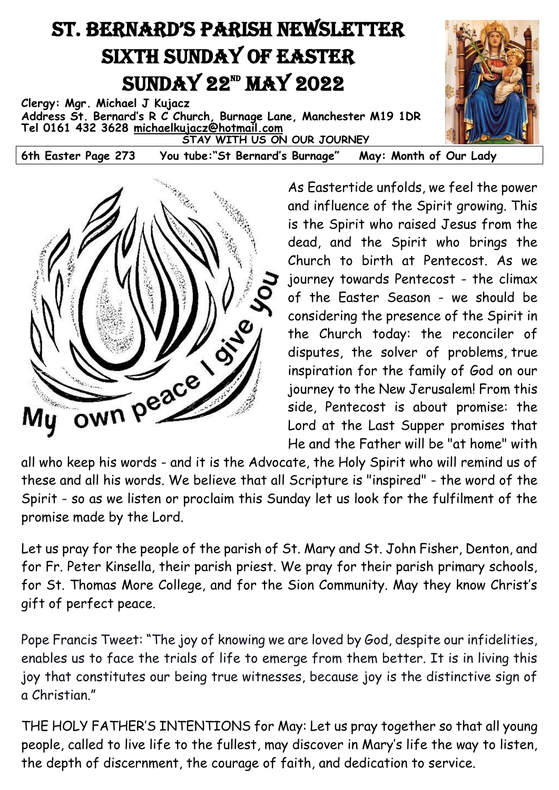## ST. BERNARD'S PARISH NEWSLETTER Sixth Sunday of Easter  $SUNDAY 22<sup>m</sup> MAY 2022$

**Clergy: Mgr. Michael J Kujacz Address St. Bernard's R C Church, Burnage Lane, Manchester M19 1DR Tel 0161 432 3628 [michaelkujacz@hotmail.com](mailto:michaelkujacz@hotmail.com) STAY WITH US ON OUR JOURNEY** 

**6th Easter Page 273 You tube:"St Bernard's Burnage" May: Month of Our Lady**



As Eastertide unfolds, we feel the power and influence of the Spirit growing. This is the Spirit who raised Jesus from the dead, and the Spirit who brings the Church to birth at Pentecost. As we journey towards Pentecost - the climax of the Easter Season - we should be considering the presence of the Spirit in the Church today: the reconciler of disputes, the solver of problems, true inspiration for the family of God on our journey to the New Jerusalem! From this side, Pentecost is about promise: the Lord at the Last Supper promises that He and the Father will be "at home" with

these and all his words. We believe that all Scripture is "inspired" - the word of the Spirit - so as we listen or proclaim this Sunday let us look for the fulfilment of the promise made by the Lord.

Let us pray for the people of the parish of St. Mary and St. John Fisher, Denton, and for Fr. Peter Kinsella, their parish priest. We pray for their parish primary schools, for St. Thomas More College, and for the Sion Community. May they know Christ's gift of perfect peace.

Pope Francis Tweet: "The joy of knowing we are loved by God, despite our infidelities, enables us to face the trials of life to emerge from them better. It is in living this joy that constitutes our being true witnesses, because joy is the distinctive sign of a Christian."

THE HOLY FATHER'S INTENTIONS for May: Let us pray [together](https://twitter.com/hashtag/PrayTogether?src=hashtag_click) so that all young people, called to live life to the fullest, may discover in Mary's life the way to listen, the depth of discernment, the courage of faith, and dedication to service.

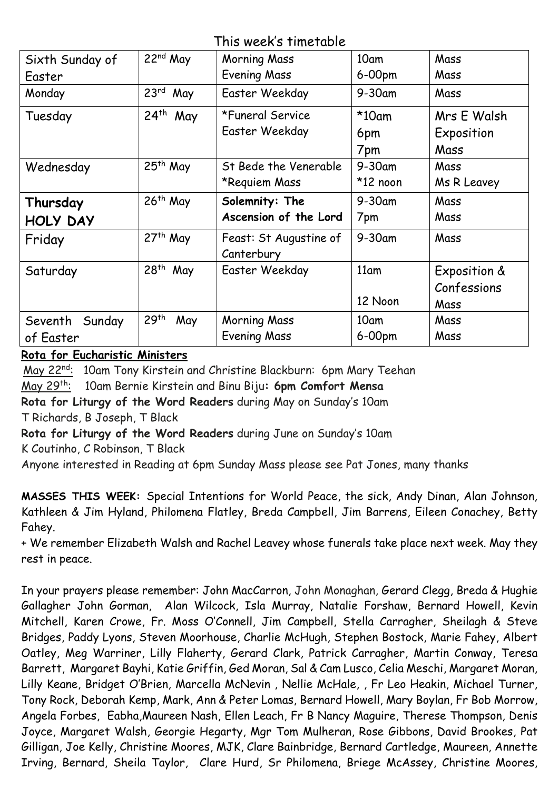This week's timetable

| Sixth Sunday of | $22nd$ May              | <b>Morning Mass</b>    | 10am             | Mass         |
|-----------------|-------------------------|------------------------|------------------|--------------|
| Easter          |                         | <b>Evening Mass</b>    | $6-00$ pm        | Mass         |
| Monday          | 23 <sup>rd</sup><br>May | Easter Weekday         | 9-30am           | Mass         |
| Tuesday         | $24th$ May              | *Funeral Service       | $*10$ am         | Mrs E Walsh  |
|                 |                         | Easter Weekday         | 6pm              | Exposition   |
|                 |                         |                        | 7pm              | Mass         |
| Wednesday       | 25 <sup>th</sup> May    | St Bede the Venerable  | $9 - 30$ am      | Mass         |
|                 |                         | *Requiem Mass          | $*12$ noon       | Ms R Leavey  |
| Thursday        | $26th$ May              | Solemnity: The         | $9 - 30$ am      | Mass         |
| <b>HOLY DAY</b> |                         | Ascension of the Lord  | 7pm              | Mass         |
| Friday          | 27 <sup>th</sup> May    | Feast: St Augustine of | $9 - 30$ am      | Mass         |
|                 |                         | Canterbury             |                  |              |
| Saturday        | 28 <sup>th</sup><br>May | Easter Weekday         | 11 <sub>am</sub> | Exposition & |
|                 |                         |                        |                  | Confessions  |
|                 |                         |                        | 12 Noon          | Mass         |
| Seventh Sunday  | 29 <sup>th</sup><br>May | <b>Morning Mass</b>    | 10am             | Mass         |
| of Easter       |                         | <b>Evening Mass</b>    | 6-00pm           | Mass         |

**Rota for Eucharistic Ministers** 

May 22<sup>nd</sup>: 10am Tony Kirstein and Christine Blackburn: 6pm Mary Teehan May 29th: 10am Bernie Kirstein and Binu Biju**: 6pm Comfort Mensa Rota for Liturgy of the Word Readers** during May on Sunday's 10am

T Richards, B Joseph, T Black

**Rota for Liturgy of the Word Readers** during June on Sunday's 10am

K Coutinho, C Robinson, T Black

Anyone interested in Reading at 6pm Sunday Mass please see Pat Jones, many thanks

**MASSES THIS WEEK:** Special Intentions for World Peace, the sick, Andy Dinan, Alan Johnson, Kathleen & Jim Hyland, Philomena Flatley, Breda Campbell, Jim Barrens, Eileen Conachey, Betty Fahey.

+ We remember Elizabeth Walsh and Rachel Leavey whose funerals take place next week. May they rest in peace.

In your prayers please remember: John MacCarron, John Monaghan, Gerard Clegg, Breda & Hughie Gallagher John Gorman, Alan Wilcock, Isla Murray, Natalie Forshaw, Bernard Howell, Kevin Mitchell, Karen Crowe, Fr. Moss O'Connell, Jim Campbell, Stella Carragher, Sheilagh & Steve Bridges, Paddy Lyons, Steven Moorhouse, Charlie McHugh, Stephen Bostock, Marie Fahey, Albert Oatley, Meg Warriner, Lilly Flaherty, Gerard Clark, Patrick Carragher, Martin Conway, Teresa Barrett, Margaret Bayhi, Katie Griffin, Ged Moran, Sal & Cam Lusco, Celia Meschi, Margaret Moran, Lilly Keane, Bridget O'Brien, Marcella McNevin , Nellie McHale, , Fr Leo Heakin, Michael Turner, Tony Rock, Deborah Kemp, Mark, Ann & Peter Lomas, Bernard Howell, Mary Boylan, Fr Bob Morrow, Angela Forbes, Eabha,Maureen Nash, Ellen Leach, Fr B Nancy Maguire, Therese Thompson, Denis Joyce, Margaret Walsh, Georgie Hegarty, Mgr Tom Mulheran, Rose Gibbons, David Brookes, Pat Gilligan, Joe Kelly, Christine Moores, MJK, Clare Bainbridge, Bernard Cartledge, Maureen, Annette Irving, Bernard, Sheila Taylor, Clare Hurd, Sr Philomena, Briege McAssey, Christine Moores,